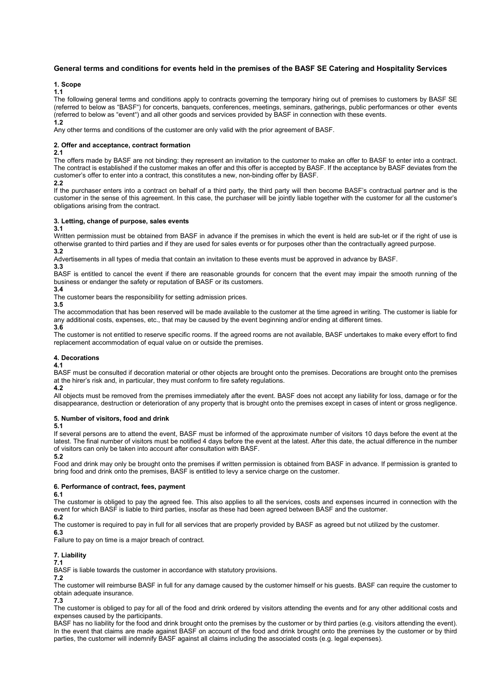# **General terms and conditions for events held in the premises of the BASF SE Catering and Hospitality Services**

# **1. Scope**

**1.1**

The following general terms and conditions apply to contracts governing the temporary hiring out of premises to customers by BASF SE (referred to below as "BASF") for concerts, banquets, conferences, meetings, seminars, gatherings, public performances or other events (referred to below as "event") and all other goods and services provided by BASF in connection with these events. **1.2**

Any other terms and conditions of the customer are only valid with the prior agreement of BASF.

## **2. Offer and acceptance, contract formation**

**2.1**

The offers made by BASF are not binding: they represent an invitation to the customer to make an offer to BASF to enter into a contract. The contract is established if the customer makes an offer and this offer is accepted by BASF. If the acceptance by BASF deviates from the customer's offer to enter into a contract, this constitutes a new, non-binding offer by BASF.

**2.2**

If the purchaser enters into a contract on behalf of a third party, the third party will then become BASF's contractual partner and is the customer in the sense of this agreement. In this case, the purchaser will be jointly liable together with the customer for all the customer's obligations arising from the contract.

## **3. Letting, change of purpose, sales events**

**3.1**

Written permission must be obtained from BASF in advance if the premises in which the event is held are sub-let or if the right of use is otherwise granted to third parties and if they are used for sales events or for purposes other than the contractually agreed purpose. **3.2**

Advertisements in all types of media that contain an invitation to these events must be approved in advance by BASF.

**3.3**

BASF is entitled to cancel the event if there are reasonable grounds for concern that the event may impair the smooth running of the business or endanger the safety or reputation of BASF or its customers.

**3.4**

The customer bears the responsibility for setting admission prices.

**3.5**

The accommodation that has been reserved will be made available to the customer at the time agreed in writing. The customer is liable for any additional costs, expenses, etc., that may be caused by the event beginning and/or ending at different times.

**3.6**

The customer is not entitled to reserve specific rooms. If the agreed rooms are not available, BASF undertakes to make every effort to find replacement accommodation of equal value on or outside the premises.

# **4. Decorations**

**4.1**

BASF must be consulted if decoration material or other objects are brought onto the premises. Decorations are brought onto the premises at the hirer's risk and, in particular, they must conform to fire safety regulations.

**4.2** 

All objects must be removed from the premises immediately after the event. BASF does not accept any liability for loss, damage or for the disappearance, destruction or deterioration of any property that is brought onto the premises except in cases of intent or gross negligence.

## **5. Number of visitors, food and drink**

**5.1**

If several persons are to attend the event, BASF must be informed of the approximate number of visitors 10 days before the event at the latest. The final number of visitors must be notified 4 days before the event at the latest. After this date, the actual difference in the number of visitors can only be taken into account after consultation with BASF.

**5.2**

Food and drink may only be brought onto the premises if written permission is obtained from BASF in advance. If permission is granted to bring food and drink onto the premises, BASF is entitled to levy a service charge on the customer.

## **6. Performance of contract, fees, payment**

**6.1**

The customer is obliged to pay the agreed fee. This also applies to all the services, costs and expenses incurred in connection with the event for which BASF is liable to third parties, insofar as these had been agreed between BASF and the customer.

**6.2**

The customer is required to pay in full for all services that are properly provided by BASF as agreed but not utilized by the customer.

**6.3**

Failure to pay on time is a major breach of contract.

# **7. Liability**

**7.1**

BASF is liable towards the customer in accordance with statutory provisions.

**7.2**

The customer will reimburse BASF in full for any damage caused by the customer himself or his guests. BASF can require the customer to obtain adequate insurance.

**7.3**

The customer is obliged to pay for all of the food and drink ordered by visitors attending the events and for any other additional costs and expenses caused by the participants.

BASF has no liability for the food and drink brought onto the premises by the customer or by third parties (e.g. visitors attending the event). In the event that claims are made against BASF on account of the food and drink brought onto the premises by the customer or by third parties, the customer will indemnify BASF against all claims including the associated costs (e.g. legal expenses).